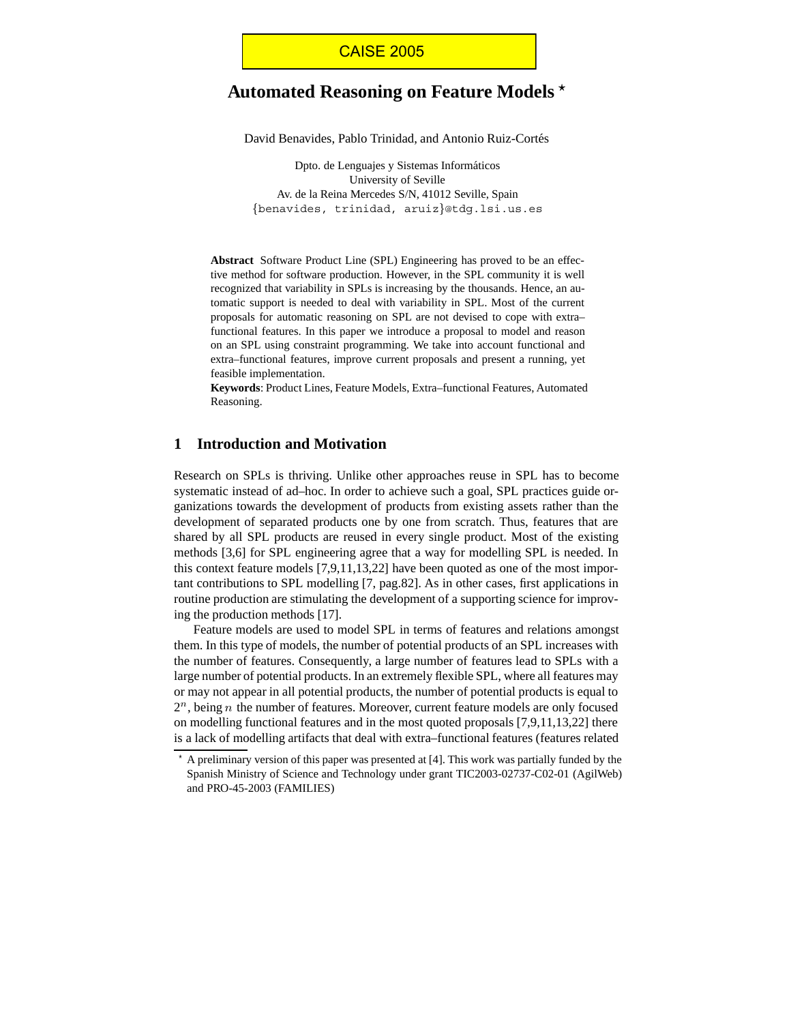# **Automated Reasoning on Feature Models**

David Benavides, Pablo Trinidad, and Antonio Ruiz-Cortés

Dpto. de Lenguajes y Sistemas Informáticos University of Seville Av. de la Reina Mercedes S/N, 41012 Seville, Spain benavides, trinidad, aruiz@tdg.lsi.us.es

**Abstract** Software Product Line (SPL) Engineering has proved to be an effective method for software production. However, in the SPL community it is well recognized that variability in SPLs is increasing by the thousands. Hence, an automatic support is needed to deal with variability in SPL. Most of the current proposals for automatic reasoning on SPL are not devised to cope with extra– functional features. In this paper we introduce a proposal to model and reason on an SPL using constraint programming. We take into account functional and extra–functional features, improve current proposals and present a running, yet feasible implementation.

**Keywords**: Product Lines, Feature Models, Extra–functional Features, Automated Reasoning.

## **1 Introduction and Motivation**

Research on SPLs is thriving. Unlike other approaches reuse in SPL has to become systematic instead of ad–hoc. In order to achieve such a goal, SPL practices guide organizations towards the development of products from existing assets rather than the development of separated products one by one from scratch. Thus, features that are shared by all SPL products are reused in every single product. Most of the existing methods [3,6] for SPL engineering agree that a way for modelling SPL is needed. In this context feature models [7,9,11,13,22] have been quoted as one of the most important contributions to SPL modelling [7, pag.82]. As in other cases, first applications in routine production are stimulating the development of a supporting science for improving the production methods [17].

Feature models are used to model SPL in terms of features and relations amongst them. In this type of models, the number of potential products of an SPL increases with the number of features. Consequently, a large number of features lead to SPLs with a large number of potential products. In an extremely flexible SPL, where all features may or may not appear in all potential products, the number of potential products is equal to  $2<sup>n</sup>$ , being *n* the number of features. Moreover, current feature models are only focused on modelling functional features and in the most quoted proposals [7,9,11,13,22] there is a lack of modelling artifacts that deal with extra–functional features (features related

 $*$  A preliminary version of this paper was presented at [4]. This work was partially funded by the Spanish Ministry of Science and Technology under grant TIC2003-02737-C02-01 (AgilWeb) and PRO-45-2003 (FAMILIES)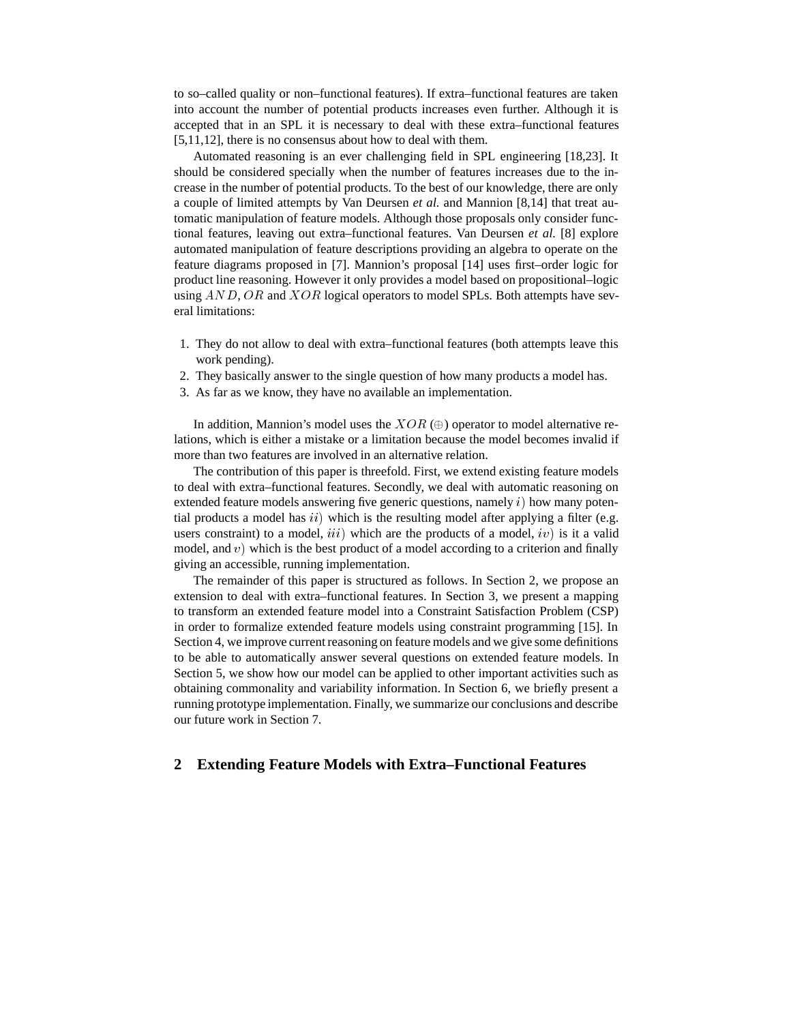to so–called quality or non–functional features). If extra–functional features are taken into account the number of potential products increases even further. Although it is accepted that in an SPL it is necessary to deal with these extra–functional features [5,11,12], there is no consensus about how to deal with them.

Automated reasoning is an ever challenging field in SPL engineering [18,23]. It should be considered specially when the number of features increases due to the increase in the number of potential products. To the best of our knowledge, there are only a couple of limited attempts by Van Deursen *et al.* and Mannion [8,14] that treat automatic manipulation of feature models. Although those proposals only consider functional features, leaving out extra–functional features. Van Deursen *et al.* [8] explore automated manipulation of feature descriptions providing an algebra to operate on the feature diagrams proposed in [7]. Mannion's proposal [14] uses first–order logic for product line reasoning. However it only provides a model based on propositional–logic using  $AND$ ,  $OR$  and  $XOR$  logical operators to model SPLs. Both attempts have several limitations:

- 1. They do not allow to deal with extra–functional features (both attempts leave this work pending).
- 2. They basically answer to the single question of how many products a model has.
- 3. As far as we know, they have no available an implementation.

In addition, Mannion's model uses the  $XOR$  ( $\oplus$ ) operator to model alternative relations, which is either a mistake or a limitation because the model becomes invalid if more than two features are involved in an alternative relation.

The contribution of this paper is threefold. First, we extend existing feature models to deal with extra–functional features. Secondly, we deal with automatic reasoning on extended feature models answering five generic questions, namely  $i$ ) how many potential products a model has  $ii)$  which is the resulting model after applying a filter (e.g. users constraint) to a model,  $iii)$  which are the products of a model,  $iv)$  is it a valid model, and  $v$ ) which is the best product of a model according to a criterion and finally giving an accessible, running implementation.

The remainder of this paper is structured as follows. In Section 2, we propose an extension to deal with extra–functional features. In Section 3, we present a mapping to transform an extended feature model into a Constraint Satisfaction Problem (CSP) in order to formalize extended feature models using constraint programming [15]. In Section 4, we improve current reasoning on feature models and we give some definitions to be able to automatically answer several questions on extended feature models. In Section 5, we show how our model can be applied to other important activities such as obtaining commonality and variability information. In Section 6, we briefly present a running prototype implementation. Finally, we summarize our conclusions and describe our future work in Section 7.

## **2 Extending Feature Models with Extra–Functional Features**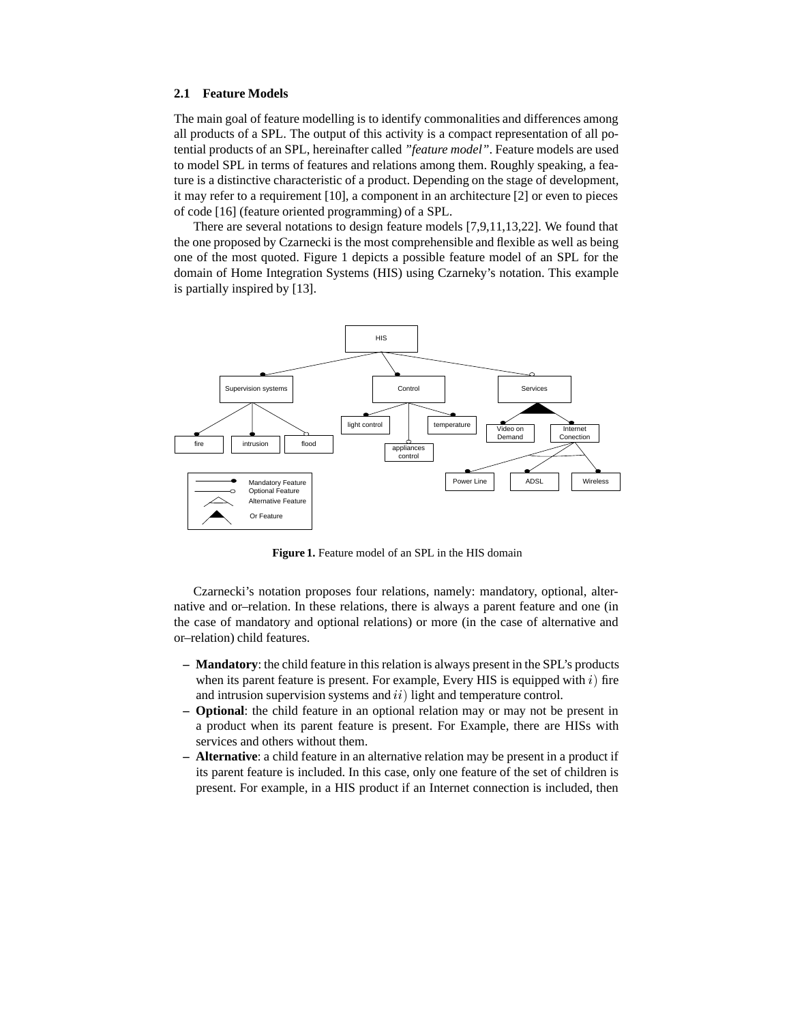#### **2.1 Feature Models**

The main goal of feature modelling is to identify commonalities and differences among all products of a SPL. The output of this activity is a compact representation of all potential products of an SPL, hereinafter called *"feature model"*. Feature models are used to model SPL in terms of features and relations among them. Roughly speaking, a feature is a distinctive characteristic of a product. Depending on the stage of development, it may refer to a requirement [10], a component in an architecture [2] or even to pieces of code [16] (feature oriented programming) of a SPL.

There are several notations to design feature models [7,9,11,13,22]. We found that the one proposed by Czarnecki is the most comprehensible and flexible as well as being one of the most quoted. Figure 1 depicts a possible feature model of an SPL for the domain of Home Integration Systems (HIS) using Czarneky's notation. This example is partially inspired by [13].



**Figure 1.** Feature model of an SPL in the HIS domain

Czarnecki's notation proposes four relations, namely: mandatory, optional, alternative and or–relation. In these relations, there is always a parent feature and one (in the case of mandatory and optional relations) or more (in the case of alternative and or–relation) child features.

- **Mandatory**: the child feature in this relation is always present in the SPL's products when its parent feature is present. For example, Every HIS is equipped with  $i$ ) fire and intrusion supervision systems and  $ii)$  light and temperature control.
- **Optional**: the child feature in an optional relation may or may not be present in a product when its parent feature is present. For Example, there are HISs with services and others without them.
- **Alternative**: a child feature in an alternative relation may be present in a product if its parent feature is included. In this case, only one feature of the set of children is present. For example, in a HIS product if an Internet connection is included, then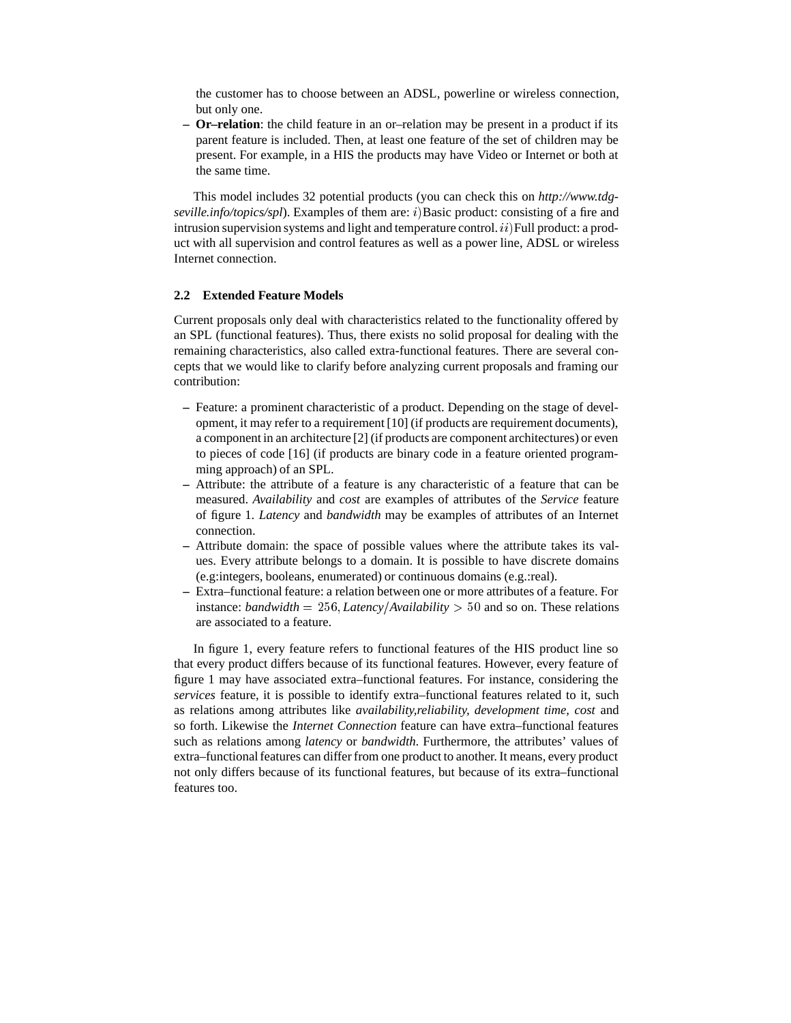the customer has to choose between an ADSL, powerline or wireless connection, but only one.

**– Or–relation**: the child feature in an or–relation may be present in a product if its parent feature is included. Then, at least one feature of the set of children may be present. For example, in a HIS the products may have Video or Internet or both at the same time.

This model includes 32 potential products (you can check this on *http://www.tdg*seville.info/topics/spl). Examples of them are: i)Basic product: consisting of a fire and intrusion supervision systems and light and temperature control.  $ii$ ) Full product: a product with all supervision and control features as well as a power line, ADSL or wireless Internet connection.

#### **2.2 Extended Feature Models**

Current proposals only deal with characteristics related to the functionality offered by an SPL (functional features). Thus, there exists no solid proposal for dealing with the remaining characteristics, also called extra-functional features. There are several concepts that we would like to clarify before analyzing current proposals and framing our contribution:

- **–** Feature: a prominent characteristic of a product. Depending on the stage of development, it may refer to a requirement [10] (if products are requirement documents), a component in an architecture [2] (if products are component architectures) or even to pieces of code [16] (if products are binary code in a feature oriented programming approach) of an SPL.
- **–** Attribute: the attribute of a feature is any characteristic of a feature that can be measured. *Availability* and *cost* are examples of attributes of the *Service* feature of figure 1. *Latency* and *bandwidth* may be examples of attributes of an Internet connection.
- **–** Attribute domain: the space of possible values where the attribute takes its values. Every attribute belongs to a domain. It is possible to have discrete domains (e.g:integers, booleans, enumerated) or continuous domains (e.g.:real).
- **–** Extra–functional feature: a relation between one or more attributes of a feature. For instance: *bandwidth* =  $256$ , *Latency*/*Availability* > 50 and so on. These relations are associated to a feature.

In figure 1, every feature refers to functional features of the HIS product line so that every product differs because of its functional features. However, every feature of figure 1 may have associated extra–functional features. For instance, considering the *services* feature, it is possible to identify extra–functional features related to it, such as relations among attributes like *availability,reliability, development time, cost* and so forth. Likewise the *Internet Connection* feature can have extra–functional features such as relations among *latency* or *bandwidth*. Furthermore, the attributes' values of extra–functional features can differ from one product to another. It means, every product not only differs because of its functional features, but because of its extra–functional features too.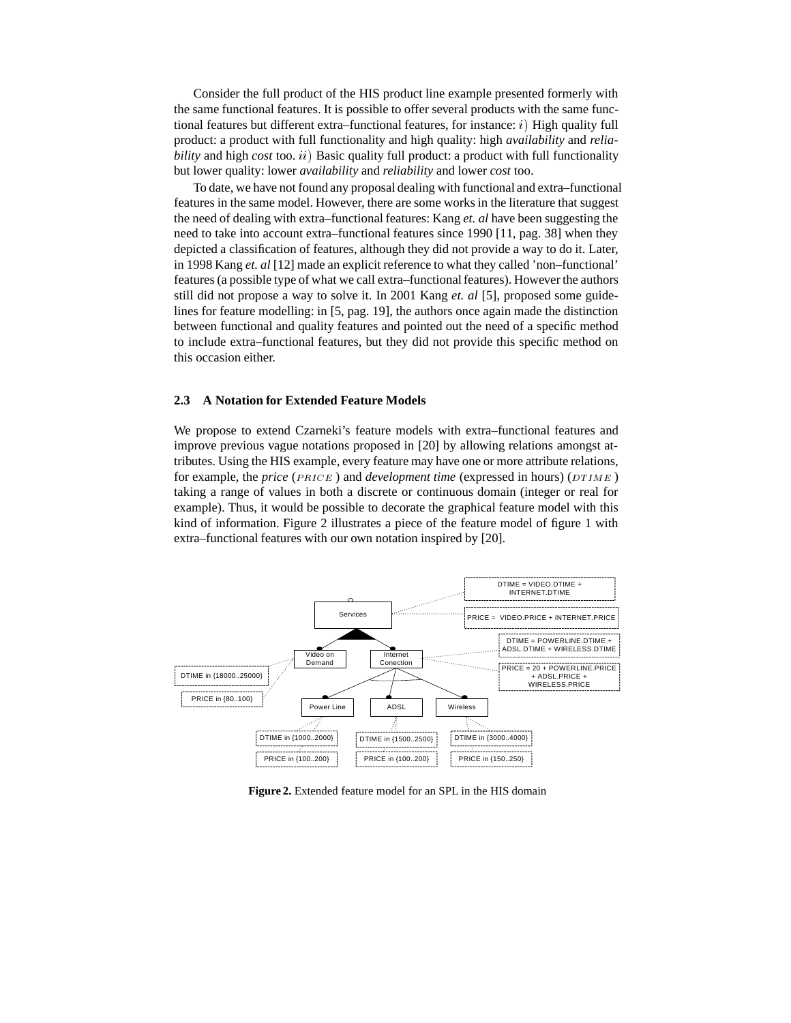Consider the full product of the HIS product line example presented formerly with the same functional features. It is possible to offer several products with the same functional features but different extra–functional features, for instance:  $i$ ) High quality full product: a product with full functionality and high quality: high *availability* and *reliability* and high *cost* too. *ii*) Basic quality full product: a product with full functionality but lower quality: lower *availability* and *reliability* and lower *cost* too.

To date, we have not found any proposal dealing with functional and extra–functional features in the same model. However, there are some works in the literature that suggest the need of dealing with extra–functional features: Kang *et. al* have been suggesting the need to take into account extra–functional features since 1990 [11, pag. 38] when they depicted a classification of features, although they did not provide a way to do it. Later, in 1998 Kang *et. al* [12] made an explicit reference to what they called 'non–functional' features (a possible type of what we call extra–functional features). However the authors still did not propose a way to solve it. In 2001 Kang *et. al* [5], proposed some guidelines for feature modelling: in [5, pag. 19], the authors once again made the distinction between functional and quality features and pointed out the need of a specific method to include extra–functional features, but they did not provide this specific method on this occasion either.

#### **2.3 A Notation for Extended Feature Models**

We propose to extend Czarneki's feature models with extra–functional features and improve previous vague notations proposed in [20] by allowing relations amongst attributes. Using the HIS example, every feature may have one or more attribute relations, for example, the *price* ( $PRICE$ ) and *development time* (expressed in hours) ( $DTIME$ ) taking a range of values in both a discrete or continuous domain (integer or real for example). Thus, it would be possible to decorate the graphical feature model with this kind of information. Figure 2 illustrates a piece of the feature model of figure 1 with extra–functional features with our own notation inspired by [20].



**Figure 2.** Extended feature model for an SPL in the HIS domain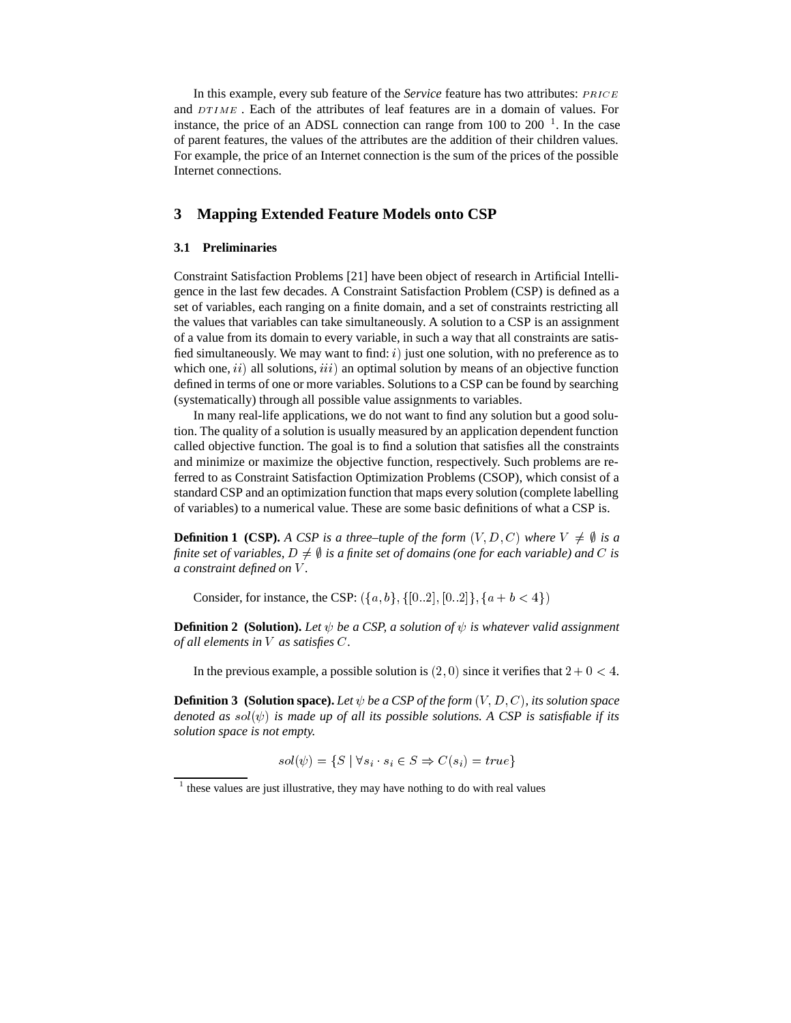In this example, every sub feature of the *Service* feature has two attributes: *PRICE* and  $DTIME$ . Each of the attributes of leaf features are in a domain of values. For instance, the price of an ADSL connection can range from  $100$  to  $200^{-1}$ . In the case of parent features, the values of the attributes are the addition of their children values. For example, the price of an Internet connection is the sum of the prices of the possible Internet connections.

## **3 Mapping Extended Feature Models onto CSP**

#### **3.1 Preliminaries**

Constraint Satisfaction Problems [21] have been object of research in Artificial Intelligence in the last few decades. A Constraint Satisfaction Problem (CSP) is defined as a set of variables, each ranging on a finite domain, and a set of constraints restricting all the values that variables can take simultaneously. A solution to a CSP is an assignment of a value from its domain to every variable, in such a way that all constraints are satisfied simultaneously. We may want to find:  $i$ ) just one solution, with no preference as to which one,  $ii)$  all solutions,  $iii)$  an optimal solution by means of an objective function defined in terms of one or more variables. Solutions to a CSP can be found by searching (systematically) through all possible value assignments to variables.

In many real-life applications, we do not want to find any solution but a good solution. The quality of a solution is usually measured by an application dependent function called objective function. The goal is to find a solution that satisfies all the constraints and minimize or maximize the objective function, respectively. Such problems are referred to as Constraint Satisfaction Optimization Problems (CSOP), which consist of a standard CSP and an optimization function that maps every solution (complete labelling of variables) to a numerical value. These are some basic definitions of what a CSP is.

**Definition 1 (CSP).** A CSP is a three–tuple of the form  $(V, D, C)$  where  $V \neq \emptyset$  is a finite set of variables,  $D \neq \emptyset$  is a finite set of domains (one for each variable) and  $C$  is *a constraint defined on .*

Consider, for instance, the CSP:  $({a, b}, {[0..2], [0..2]}, {a + b < 4})$ 

**Definition 2 (Solution).** Let  $\psi$  be a CSP, a solution of  $\psi$  is whatever valid assignment *of all elements in V as satisfies C.* 

In the previous example, a possible solution is  $(2,0)$  since it verifies that  $2+0<4$ .

**Definition 3 (Solution space).** Let  $\psi$  be a CSP of the form  $(V, D, C)$ , its solution space *denoted as sol* $(\psi)$  *is made up of all its possible solutions. A CSP is satisfiable if its solution space is not empty.*

$$
sol(\psi) = \{ S \mid \forall s_i \cdot s_i \in S \Rightarrow C(s_i) = true \}
$$

 $1$  these values are just illustrative, they may have nothing to do with real values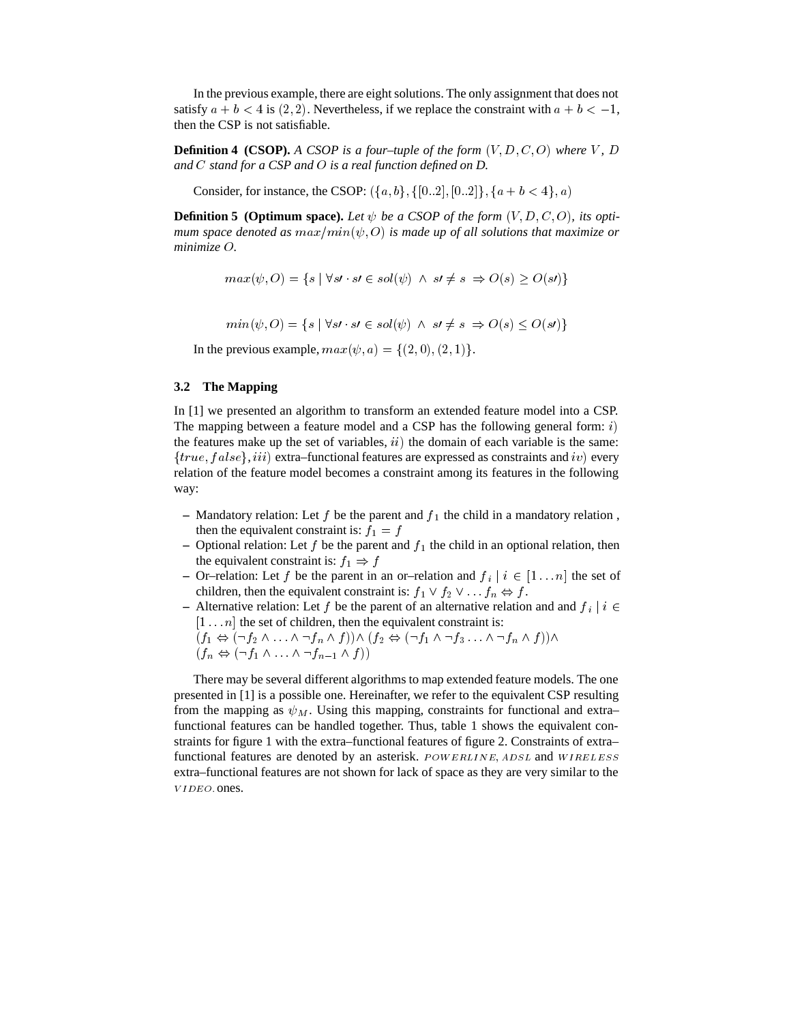In the previous example, there are eight solutions. The only assignment that does not satisfy  $a + b < 4$  is  $(2, 2)$ . Nevertheless, if we replace the constraint with  $a + b < -1$ , then the CSP is not satisfiable.

**Definition 4 (CSOP).** A CSOP is a four-tuple of the form  $(V, D, C, O)$  where V, D *and stand for a CSP and is a real function defined on D.*

Consider, for instance, the CSOP:  $({a, b}, {[0..2], [0..2]}, {a + b < 4}, a)$ 

**Definition 5 (Optimum space).** Let  $\psi$  be a CSOP of the form  $(V, D, C, O)$ , its optimum space denoted as  $max/min(\psi, O)$  is made up of all solutions that maximize or *minimize*  $O$ .

$$
max(\psi, O) = \{ s \mid \forall s \land s \in sol(\psi) \land s \land \neq s \Rightarrow O(s) \geq O(s) \}
$$

 $min(\psi, O) = \{s \mid \forall s \land s \in sol(\psi) \land s \neq s \Rightarrow O(s) \leq O(s) \}$ 

In the previous example,  $max(\psi, a) = \{(2, 0), (2, 1)\}.$ 

### **3.2 The Mapping**

In [1] we presented an algorithm to transform an extended feature model into a CSP. The mapping between a feature model and a CSP has the following general form:  $i$ ) the features make up the set of variables,  $\{ii\}$  the domain of each variable is the same:  $\{true, false\}$ , *iii*) extra–functional features are expressed as constraints and *iv*) every relation of the feature model becomes a constraint among its features in the following way:

- $-$  Mandatory relation: Let  $f$  be the parent and  $f_1$  the child in a mandatory relation, then the equivalent constraint is:  $f_1 = f$
- Optional relation: Let  $f$  be the parent and  $f_1$  the child in an optional relation, then the equivalent constraint is:  $f_1 \Rightarrow f$
- **–** Or–relation: Let f be the parent in an or–relation and  $f_i \mid i \in [1 \dots n]$  the set of children, then the equivalent constraint is:  $f_1 \vee f_2 \vee \dots f_n \Leftrightarrow f$ .
- **–** Alternative relation: Let f be the parent of an alternative relation and and  $f_i \mid i \in$  $[1 \dots n]$  the set of children, then the equivalent constraint is:
	- $(f_n \Leftrightarrow (\neg f_1 \wedge \ldots \wedge \neg f_{n-1} \wedge f))$

There may be several different algorithms to map extended feature models. The one presented in [1] is a possible one. Hereinafter, we refer to the equivalent CSP resulting from the mapping as  $\psi_M$ . Using this mapping, constraints for functional and extra– functional features can be handled together. Thus, table 1 shows the equivalent constraints for figure 1 with the extra–functional features of figure 2. Constraints of extra– functional features are denoted by an asterisk.  $Power_{ELINE}$ ,  $ADSL$  and  $WIRELESS$ extra–functional features are not shown for lack of space as they are very similar to the VIDEO. ones.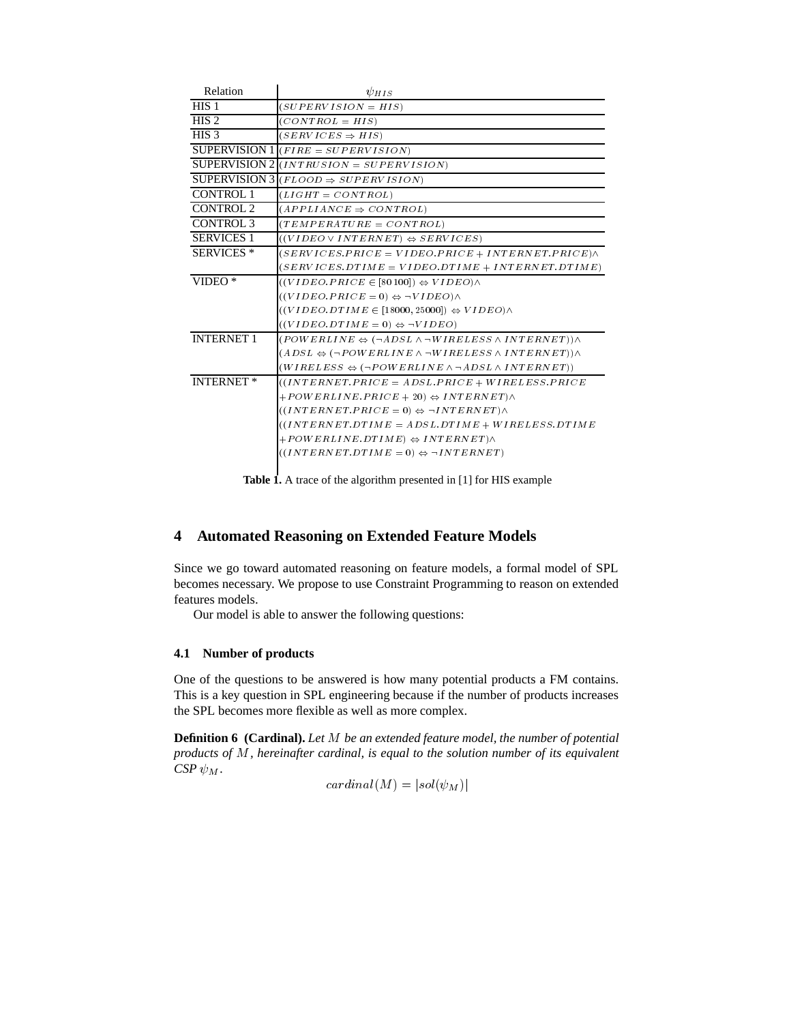| Relation             | $\psi_{HIS}$                                                                           |
|----------------------|----------------------------------------------------------------------------------------|
| HIS <sub>1</sub>     | $(SUPERVISION = HIS)$                                                                  |
| HIS <sub>2</sub>     | $(CONTROL = HIS)$                                                                      |
| HIS <sub>3</sub>     | $(SERVICES \Rightarrow HIS)$                                                           |
|                      | SUPERVISION $1 $ ( <i>FIRE = SUPERVISION</i> )                                         |
|                      | SUPERVISION $2 (INTRUSION = SUPERVISION)$                                              |
| <b>SUPERVISION 3</b> | $(FLOOD \Rightarrow SUPERVISION)$                                                      |
| <b>CONTROL 1</b>     | $(LIGHT = CONTROL)$                                                                    |
| <b>CONTROL 2</b>     | $(APPLIANCE \Rightarrow CONTROL$                                                       |
| <b>CONTROL 3</b>     | $(TEMPERATURE = CONTROL)$                                                              |
| <b>SERVICES 1</b>    | $((VIDEO \vee INTERNET) \Leftrightarrow SENICES)$                                      |
| <b>SERVICES</b> *    | $(SERVICES. PRICE = VIDEO. PRICE + INTERNET. PRICE) \wedge$                            |
|                      | $(SERVICES.DTIME = VIDEO.DTIME + INTERNET.DTIME)$                                      |
| $VIDEO*$             | $((VIDEO.PRICE \in [80100]) \Leftrightarrow VIDEO) \wedge$                             |
|                      | $((VIDEO.PRICE = 0) \Leftrightarrow \neg VIDEO) \wedge$                                |
|                      | $((VIDEO.DTIME \in [18000, 25000]) \Leftrightarrow VIDEO) \wedge$                      |
|                      | $((VIDEO.DTIME = 0) \Leftrightarrow \neg VIDEO)$                                       |
| <b>INTERNET 1</b>    | $(POWERLINE \Leftrightarrow (\neg ADSL \wedge \neg WIRELES S \wedge INTERNET)) \wedge$ |
|                      | $(ADSL \Leftrightarrow (\neg POWERLINE \wedge \neg WIRELES S \wedge INTERNET)) \wedge$ |
|                      | $(WIRELESS \Leftrightarrow (\neg POWERLINE \wedge \neg ADSL \wedge INTERNET))$         |
| <b>INTERNET*</b>     | $((INTERNET.PRICE = ADSL.PRICE + WIRELESS.PRICE$                                       |
|                      | $+POWERLINE.PRICE + 20) \Leftrightarrow INTERNET \wedge$                               |
|                      | $((INTERNET.PRICE = 0) \Leftrightarrow \neg INTERNET) \wedge$                          |
|                      | $((INTERNET.DTIME = ADSL.DTIME + WIRELES S.DTIME$                                      |
|                      | $+POWERLINE.DTIME) \Leftrightarrow INTERNET \wedge$                                    |
|                      | $((INTERNET.DTIME = 0) \Leftrightarrow \neg INTERNET)$                                 |
|                      |                                                                                        |

**Table 1.** A trace of the algorithm presented in [1] for HIS example

# **4 Automated Reasoning on Extended Feature Models**

Since we go toward automated reasoning on feature models, a formal model of SPL becomes necessary. We propose to use Constraint Programming to reason on extended features models.

Our model is able to answer the following questions:

## **4.1 Number of products**

One of the questions to be answered is how many potential products a FM contains. This is a key question in SPL engineering because if the number of products increases the SPL becomes more flexible as well as more complex.

**Definition 6 (Cardinal).** Let *M* be an extended feature model, the number of potential *products of M, hereinafter cardinal, is equal to the solution number of its equivalent CSP*  $\psi_M$ .

$$
cardinal(M)=|sol(\psi_M)|
$$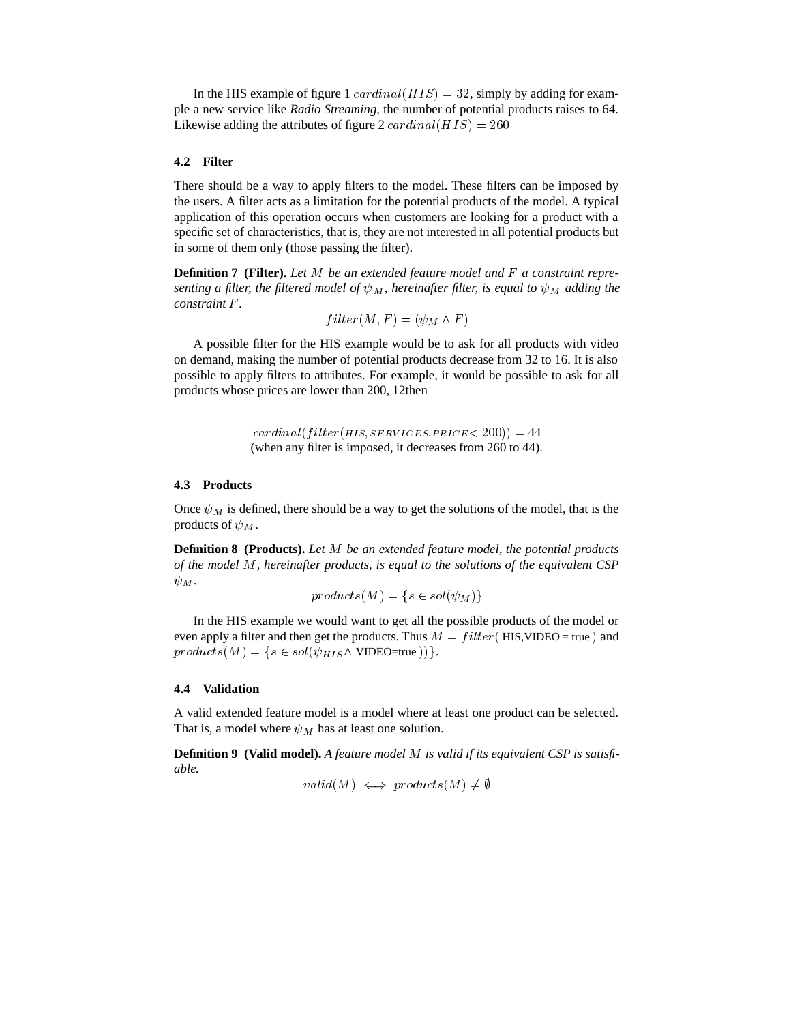In the HIS example of figure  $1 \; cardinal(HIS) = 32$ , simply by adding for example a new service like *Radio Streaming*, the number of potential products raises to 64. Likewise adding the attributes of figure 2  $cardinal(HIS) = 260$ 

## **4.2 Filter**

There should be a way to apply filters to the model. These filters can be imposed by the users. A filter acts as a limitation for the potential products of the model. A typical application of this operation occurs when customers are looking for a product with a specific set of characteristics, that is, they are not interested in all potential products but in some of them only (those passing the filter).

**Definition 7 (Filter).** Let M be an extended feature model and F a constraint repre*senting a filter, the filtered model of*  $\psi_M$ *, hereinafter filter, is equal to*  $\psi_M$  *adding the constraint*  $\overline{F}$ *.* 

$$
filter(M, F) = (\psi_M \wedge F)
$$

A possible filter for the HIS example would be to ask for all products with video on demand, making the number of potential products decrease from 32 to 16. It is also possible to apply filters to attributes. For example, it would be possible to ask for all products whose prices are lower than 200, 12then

> - - - (when any filter is imposed, it decreases from 260 to 44).

#### **4.3 Products**

Once  $\psi_M$  is defined, there should be a way to get the solutions of the model, that is the products of  $\psi_M$ .

**Definition 8 (Products).** Let M be an extended feature model, the potential products *of the model M, hereinafter products, is equal to the solutions of the equivalent CSP*  $\psi_M$ .

$$
products(M) = \{ s \in sol(\psi_M) \}
$$

In the HIS example we would want to get all the possible products of the model or even apply a filter and then get the products. Thus  $M = filter($  HIS, VIDEO = true) and  $products(M) = \{s \in sol(\psi_{HIS} \land \text{VIDEO}=\text{true}))\}.$ 

#### **4.4 Validation**

A valid extended feature model is a model where at least one product can be selected. That is, a model where  $\psi_M$  has at least one solution.

**Definition 9 (Valid model).** *A feature model is valid if its equivalent CSP is satisfiable.*

$$
valid(M) \iff products(M) \neq \emptyset
$$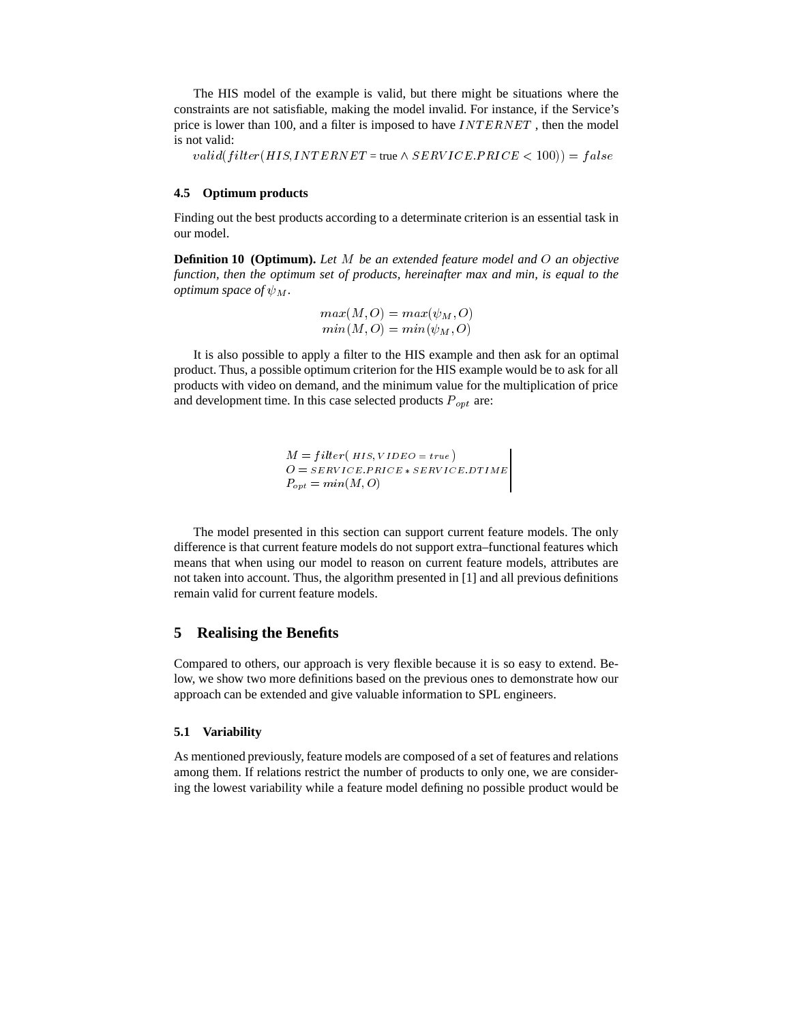The HIS model of the example is valid, but there might be situations where the constraints are not satisfiable, making the model invalid. For instance, if the Service's price is lower than 100, and a filter is imposed to have  $INTERNET$ , then the model is not valid:

 $valid(filter(HIS,INTERNET = true \land SERVICE.PRICE < 100)) = false$ 

#### **4.5 Optimum products**

Finding out the best products according to a determinate criterion is an essential task in our model.

**Definition 10 (Optimum).** *Let be an extended feature model and an objective function, then the optimum set of products, hereinafter max and min, is equal to the optimum space of*  $\psi_M$ .

```
max(M, O) = max(\psi_M, O)min(M, O) = min(\psi_M, O)
```
It is also possible to apply a filter to the HIS example and then ask for an optimal product. Thus, a possible optimum criterion for the HIS example would be to ask for all products with video on demand, and the minimum value for the multiplication of price and development time. In this case selected products  $P_{opt}$  are:

> $M = filter(HIS, VIDEO = true)$  - - - - *000* - ....., --- . - *.*

The model presented in this section can support current feature models. The only difference is that current feature models do not support extra–functional features which means that when using our model to reason on current feature models, attributes are not taken into account. Thus, the algorithm presented in [1] and all previous definitions remain valid for current feature models.

#### **5 Realising the Benefits**

Compared to others, our approach is very flexible because it is so easy to extend. Below, we show two more definitions based on the previous ones to demonstrate how our approach can be extended and give valuable information to SPL engineers.

#### **5.1 Variability**

As mentioned previously, feature models are composed of a set of features and relations among them. If relations restrict the number of products to only one, we are considering the lowest variability while a feature model defining no possible product would be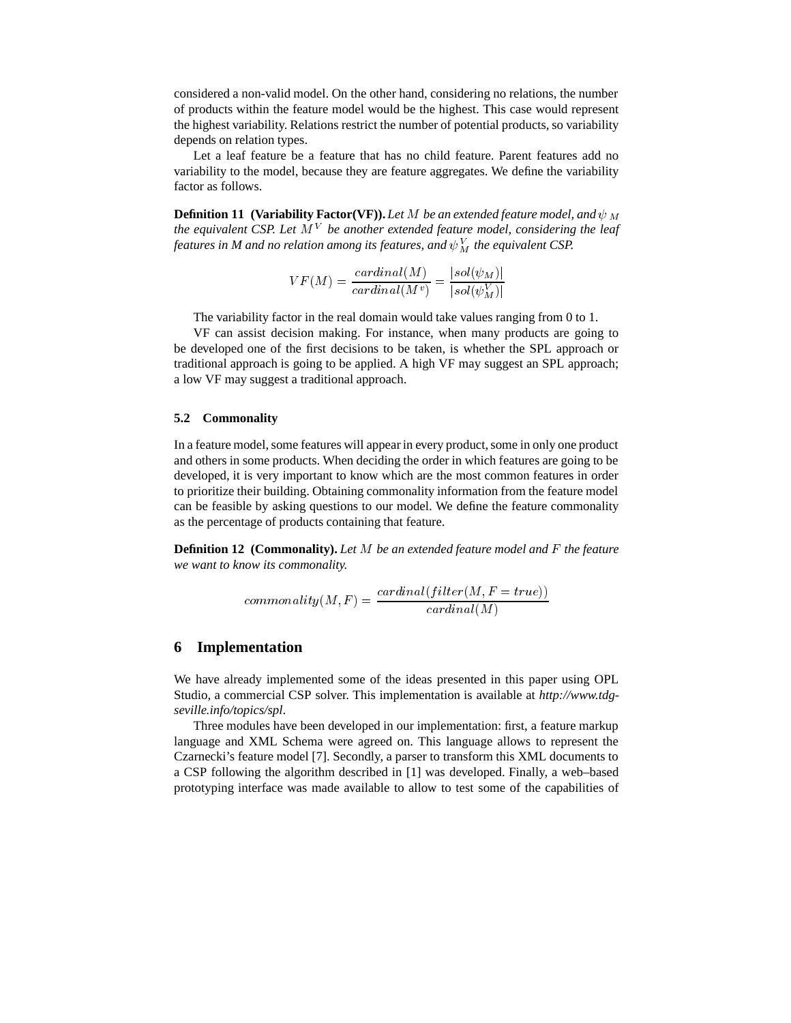considered a non-valid model. On the other hand, considering no relations, the number of products within the feature model would be the highest. This case would represent the highest variability. Relations restrict the number of potential products, so variability depends on relation types.

Let a leaf feature be a feature that has no child feature. Parent features add no variability to the model, because they are feature aggregates. We define the variability factor as follows.

**Definition 11 (Variability Factor(VF)).** Let M be an extended feature model, and  $\psi_M$ the equivalent CSP. Let M  $^V$  be another extended feature model, considering the leaf features in M and no relation among its features, and  $\psi_{M}^{V}$  the equivalent CSP.

$$
VF(M) = \frac{cardinal(M)}{cardinal(M^v)} = \frac{|sol(\psi_M)|}{|sol(\psi_M^V)|}
$$

The variability factor in the real domain would take values ranging from 0 to 1.

VF can assist decision making. For instance, when many products are going to be developed one of the first decisions to be taken, is whether the SPL approach or traditional approach is going to be applied. A high VF may suggest an SPL approach; a low VF may suggest a traditional approach.

#### **5.2 Commonality**

In a feature model, some features will appear in every product, some in only one product and others in some products. When deciding the order in which features are going to be developed, it is very important to know which are the most common features in order to prioritize their building. Obtaining commonality information from the feature model can be feasible by asking questions to our model. We define the feature commonality as the percentage of products containing that feature.

**Definition 12 (Commonality).** Let M be an extended feature model and F the feature *we want to know its commonality.*

$$
commonality(M, F) = \frac{cardinal(filter(M, F = true))}{cardinal(M)}
$$

### **6 Implementation**

We have already implemented some of the ideas presented in this paper using OPL Studio, a commercial CSP solver. This implementation is available at *http://www.tdgseville.info/topics/spl*.

Three modules have been developed in our implementation: first, a feature markup language and XML Schema were agreed on. This language allows to represent the Czarnecki's feature model [7]. Secondly, a parser to transform this XML documents to a CSP following the algorithm described in [1] was developed. Finally, a web–based prototyping interface was made available to allow to test some of the capabilities of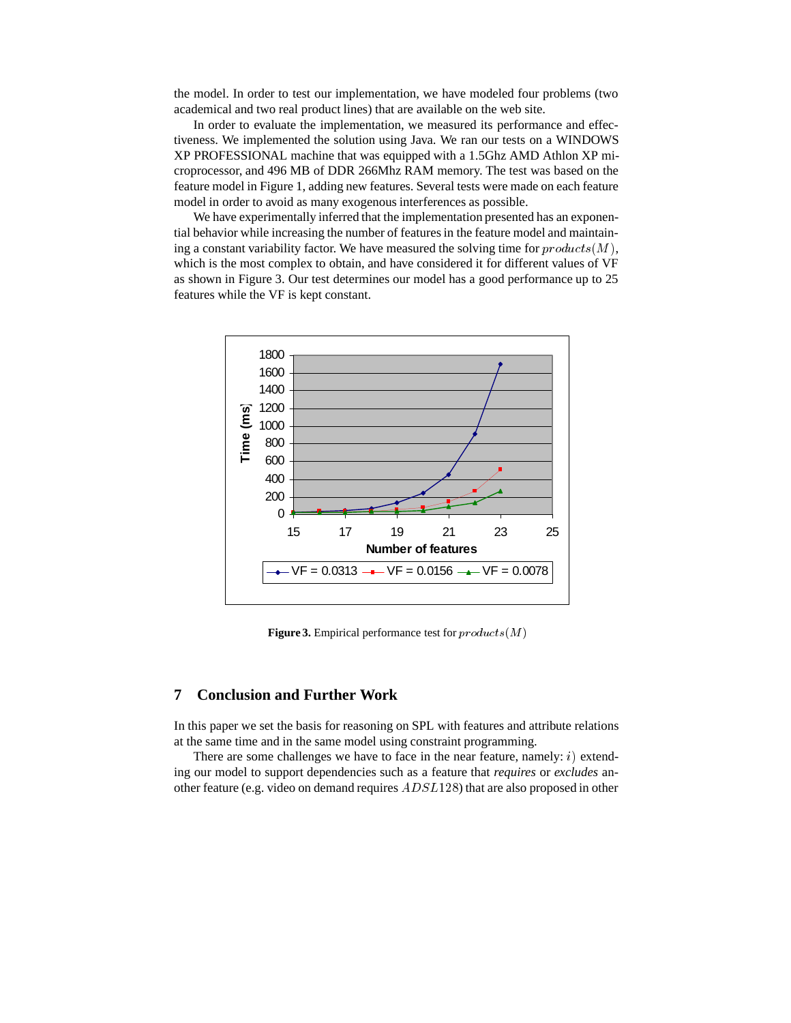the model. In order to test our implementation, we have modeled four problems (two academical and two real product lines) that are available on the web site.

In order to evaluate the implementation, we measured its performance and effectiveness. We implemented the solution using Java. We ran our tests on a WINDOWS XP PROFESSIONAL machine that was equipped with a 1.5Ghz AMD Athlon XP microprocessor, and 496 MB of DDR 266Mhz RAM memory. The test was based on the feature model in Figure 1, adding new features. Several tests were made on each feature model in order to avoid as many exogenous interferences as possible.

We have experimentally inferred that the implementation presented has an exponential behavior while increasing the number of features in the feature model and maintaining a constant variability factor. We have measured the solving time for  $products(M)$ , which is the most complex to obtain, and have considered it for different values of VF as shown in Figure 3. Our test determines our model has a good performance up to 25 features while the VF is kept constant.



**Figure 3.** Empirical performance test for  $\text{produc}ts(M)$ 

# **7 Conclusion and Further Work**

In this paper we set the basis for reasoning on SPL with features and attribute relations at the same time and in the same model using constraint programming.

There are some challenges we have to face in the near feature, namely:  $i)$  extending our model to support dependencies such as a feature that *requires* or *excludes* another feature (e.g. video on demand requires  $ADSL128$ ) that are also proposed in other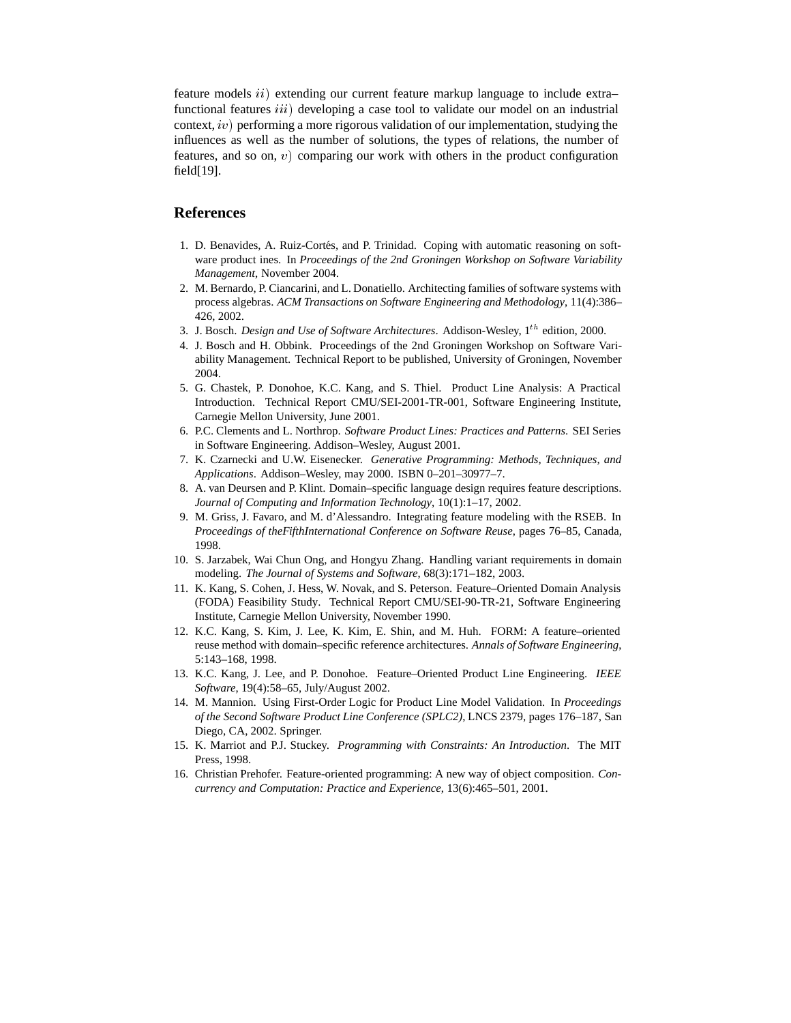feature models  $ii)$  extending our current feature markup language to include extra– functional features  $iii)$  developing a case tool to validate our model on an industrial context,  $iv$ ) performing a more rigorous validation of our implementation, studying the influences as well as the number of solutions, the types of relations, the number of features, and so on,  $v$ ) comparing our work with others in the product configuration field[19].

### **References**

- 1. D. Benavides, A. Ruiz-Cortés, and P. Trinidad. Coping with automatic reasoning on software product ines. In *Proceedings of the 2nd Groningen Workshop on Software Variability Management*, November 2004.
- 2. M. Bernardo, P. Ciancarini, and L. Donatiello. Architecting families of software systems with process algebras. *ACM Transactions on Software Engineering and Methodology*, 11(4):386– 426, 2002.
- 3. J. Bosch. *Design and Use of Software Architectures*. Addison-Wesley, 1<sup>th</sup> edition, 2000.
- 4. J. Bosch and H. Obbink. Proceedings of the 2nd Groningen Workshop on Software Variability Management. Technical Report to be published, University of Groningen, November 2004.
- 5. G. Chastek, P. Donohoe, K.C. Kang, and S. Thiel. Product Line Analysis: A Practical Introduction. Technical Report CMU/SEI-2001-TR-001, Software Engineering Institute, Carnegie Mellon University, June 2001.
- 6. P.C. Clements and L. Northrop. *Software Product Lines: Practices and Patterns*. SEI Series in Software Engineering. Addison–Wesley, August 2001.
- 7. K. Czarnecki and U.W. Eisenecker. *Generative Programming: Methods, Techniques, and Applications*. Addison–Wesley, may 2000. ISBN 0–201–30977–7.
- 8. A. van Deursen and P. Klint. Domain–specific language design requires feature descriptions. *Journal of Computing and Information Technology*, 10(1):1–17, 2002.
- 9. M. Griss, J. Favaro, and M. d'Alessandro. Integrating feature modeling with the RSEB. In *Proceedings of theFifthInternational Conference on Software Reuse*, pages 76–85, Canada, 1998.
- 10. S. Jarzabek, Wai Chun Ong, and Hongyu Zhang. Handling variant requirements in domain modeling. *The Journal of Systems and Software*, 68(3):171–182, 2003.
- 11. K. Kang, S. Cohen, J. Hess, W. Novak, and S. Peterson. Feature–Oriented Domain Analysis (FODA) Feasibility Study. Technical Report CMU/SEI-90-TR-21, Software Engineering Institute, Carnegie Mellon University, November 1990.
- 12. K.C. Kang, S. Kim, J. Lee, K. Kim, E. Shin, and M. Huh. FORM: A feature–oriented reuse method with domain–specific reference architectures. *Annals of Software Engineering*, 5:143–168, 1998.
- 13. K.C. Kang, J. Lee, and P. Donohoe. Feature–Oriented Product Line Engineering. *IEEE Software*, 19(4):58–65, July/August 2002.
- 14. M. Mannion. Using First-Order Logic for Product Line Model Validation. In *Proceedings of the Second Software Product Line Conference (SPLC2)*, LNCS 2379, pages 176–187, San Diego, CA, 2002. Springer.
- 15. K. Marriot and P.J. Stuckey. *Programming with Constraints: An Introduction*. The MIT Press, 1998.
- 16. Christian Prehofer. Feature-oriented programming: A new way of object composition. *Concurrency and Computation: Practice and Experience*, 13(6):465–501, 2001.